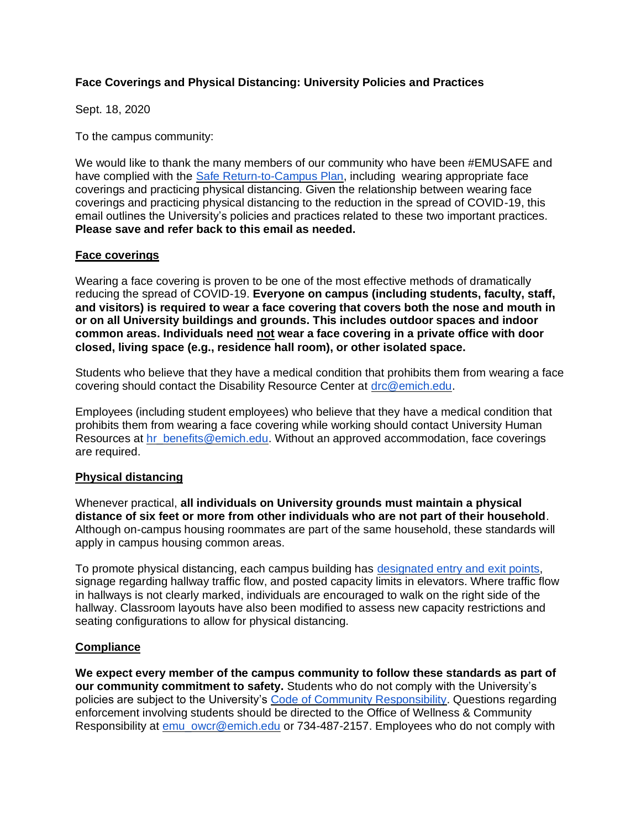## **Face Coverings and Physical Distancing: University Policies and Practices**

Sept. 18, 2020

To the campus community:

We would like to thank the many members of our community who have been #EMUSAFE and have complied with the [Safe Return-to-Campus Plan,](https://www.emich.edu/emu-safe/safe-return-to-campus/index.php) including wearing appropriate face coverings and practicing physical distancing. Given the relationship between wearing face coverings and practicing physical distancing to the reduction in the spread of COVID-19, this email outlines the University's policies and practices related to these two important practices. **Please save and refer back to this email as needed.**

## **Face coverings**

Wearing a face covering is proven to be one of the most effective methods of dramatically reducing the spread of COVID-19. **Everyone on campus (including students, faculty, staff, and visitors) is required to wear a face covering that covers both the nose and mouth in or on all University buildings and grounds. This includes outdoor spaces and indoor common areas. Individuals need not wear a face covering in a private office with door closed, living space (e.g., residence hall room), or other isolated space.**

Students who believe that they have a medical condition that prohibits them from wearing a face covering should contact the Disability Resource Center at [drc@emich.edu.](mailto:drc@emich.edu)

Employees (including student employees) who believe that they have a medical condition that prohibits them from wearing a face covering while working should contact University Human Resources at [hr\\_benefits@emich.edu.](mailto:hr_employment@emich.edu) Without an approved accommodation, face coverings are required.

## **Physical distancing**

Whenever practical, **all individuals on University grounds must maintain a physical distance of six feet or more from other individuals who are not part of their household**. Although on-campus housing roommates are part of the same household, these standards will apply in campus housing common areas.

To promote physical distancing, each campus building has [designated entry and exit points,](https://www.emich.edu/emu-safe/building-access/) signage regarding hallway traffic flow, and posted capacity limits in elevators. Where traffic flow in hallways is not clearly marked, individuals are encouraged to walk on the right side of the hallway. Classroom layouts have also been modified to assess new capacity restrictions and seating configurations to allow for physical distancing.

## **Compliance**

**We expect every member of the campus community to follow these standards as part of our community commitment to safety.** Students who do not comply with the University's policies are subject to the University's [Code of Community Responsibility.](https://www.emich.edu/responsibility/what-we-expect/index.php) Questions regarding enforcement involving students should be directed to the Office of Wellness & Community Responsibility at [emu\\_owcr@emich.edu](mailto:emu_owcr@emich.edu) or 734-487-2157. Employees who do not comply with